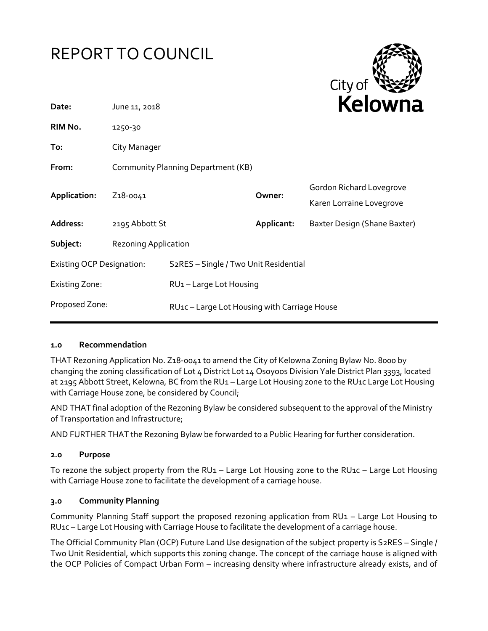# REPORT TO COUNCIL



| Date:                            | June 11, 2018                      |                                                    |            | REIUWIId                                             |
|----------------------------------|------------------------------------|----------------------------------------------------|------------|------------------------------------------------------|
| RIM No.                          | 1250-30                            |                                                    |            |                                                      |
| To:                              | City Manager                       |                                                    |            |                                                      |
| From:                            | Community Planning Department (KB) |                                                    |            |                                                      |
| Application:                     | Z <sub>1</sub> 8-0041              |                                                    | Owner:     | Gordon Richard Lovegrove<br>Karen Lorraine Lovegrove |
| Address:                         | 2195 Abbott St                     |                                                    | Applicant: | Baxter Design (Shane Baxter)                         |
| Subject:                         | <b>Rezoning Application</b>        |                                                    |            |                                                      |
| <b>Existing OCP Designation:</b> |                                    | S <sub>2</sub> RES - Single / Two Unit Residential |            |                                                      |
| <b>Existing Zone:</b>            |                                    | RU1-Large Lot Housing                              |            |                                                      |
| Proposed Zone:                   |                                    | RU1c - Large Lot Housing with Carriage House       |            |                                                      |
|                                  |                                    |                                                    |            |                                                      |

#### **1.0 Recommendation**

THAT Rezoning Application No. Z18-0041 to amend the City of Kelowna Zoning Bylaw No. 8000 by changing the zoning classification of Lot 4 District Lot 14 Osoyoos Division Yale District Plan 3393, located at 2195 Abbott Street, Kelowna, BC from the RU1 – Large Lot Housing zone to the RU1c Large Lot Housing with Carriage House zone, be considered by Council;

AND THAT final adoption of the Rezoning Bylaw be considered subsequent to the approval of the Ministry of Transportation and Infrastructure;

AND FURTHER THAT the Rezoning Bylaw be forwarded to a Public Hearing for further consideration.

## **2.0 Purpose**

To rezone the subject property from the RU1 – Large Lot Housing zone to the RU1c – Large Lot Housing with Carriage House zone to facilitate the development of a carriage house.

## **3.0 Community Planning**

Community Planning Staff support the proposed rezoning application from RU1 – Large Lot Housing to RU1c – Large Lot Housing with Carriage House to facilitate the development of a carriage house.

The Official Community Plan (OCP) Future Land Use designation of the subject property is S2RES – Single / Two Unit Residential, which supports this zoning change. The concept of the carriage house is aligned with the OCP Policies of Compact Urban Form – increasing density where infrastructure already exists, and of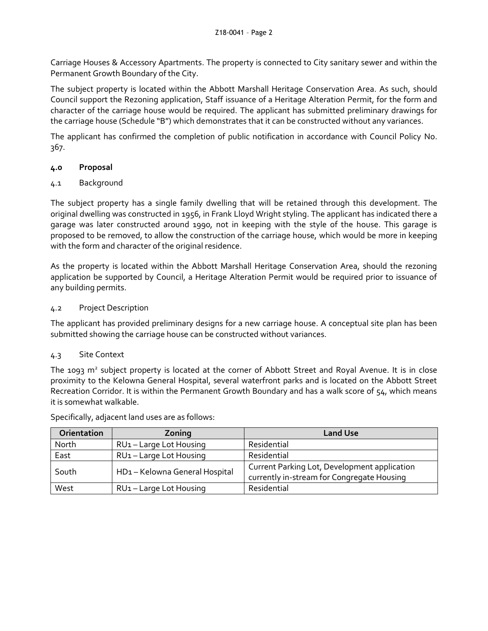Carriage Houses & Accessory Apartments. The property is connected to City sanitary sewer and within the Permanent Growth Boundary of the City.

The subject property is located within the Abbott Marshall Heritage Conservation Area. As such, should Council support the Rezoning application, Staff issuance of a Heritage Alteration Permit, for the form and character of the carriage house would be required. The applicant has submitted preliminary drawings for the carriage house (Schedule "B") which demonstrates that it can be constructed without any variances.

The applicant has confirmed the completion of public notification in accordance with Council Policy No. 367.

# **4.0 Proposal**

# 4.1 Background

The subject property has a single family dwelling that will be retained through this development. The original dwelling was constructed in 1956, in Frank Lloyd Wright styling. The applicant has indicated there a garage was later constructed around 1990, not in keeping with the style of the house. This garage is proposed to be removed, to allow the construction of the carriage house, which would be more in keeping with the form and character of the original residence.

As the property is located within the Abbott Marshall Heritage Conservation Area, should the rezoning application be supported by Council, a Heritage Alteration Permit would be required prior to issuance of any building permits.

# 4.2 Project Description

The applicant has provided preliminary designs for a new carriage house. A conceptual site plan has been submitted showing the carriage house can be constructed without variances.

## 4.3 Site Context

The 1093 m<sup>2</sup> subject property is located at the corner of Abbott Street and Royal Avenue. It is in close proximity to the Kelowna General Hospital, several waterfront parks and is located on the Abbott Street Recreation Corridor. It is within the Permanent Growth Boundary and has a walk score of 54, which means it is somewhat walkable.

| Orientation | Zoning                              | <b>Land Use</b>                                                                            |  |
|-------------|-------------------------------------|--------------------------------------------------------------------------------------------|--|
| North       | RU1-Large Lot Housing               | Residential                                                                                |  |
| East        | RU1-Large Lot Housing               | Residential                                                                                |  |
| South       | HD1-Kelowna General Hospital        | Current Parking Lot, Development application<br>currently in-stream for Congregate Housing |  |
| West        | RU <sub>1</sub> - Large Lot Housing | Residential                                                                                |  |

Specifically, adjacent land uses are as follows: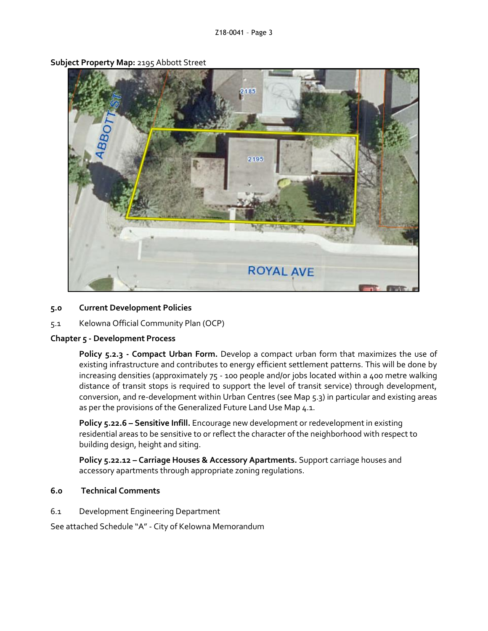

**Subject Property Map:** 2195 Abbott Street

#### **5.0 Current Development Policies**

5.1 Kelowna Official Community Plan (OCP)

#### **Chapter 5 - Development Process**

**Policy 5.2.3 - Compact Urban Form.** Develop a compact urban form that maximizes the use of existing infrastructure and contributes to energy efficient settlement patterns. This will be done by increasing densities (approximately 75 - 100 people and/or jobs located within a 400 metre walking distance of transit stops is required to support the level of transit service) through development, conversion, and re-development within Urban Centres (see Map 5.3) in particular and existing areas as per the provisions of the Generalized Future Land Use Map 4.1.

**Policy 5.22.6 – Sensitive Infill.** Encourage new development or redevelopment in existing residential areas to be sensitive to or reflect the character of the neighborhood with respect to building design, height and siting.

**Policy 5.22.12 – Carriage Houses & Accessory Apartments.** Support carriage houses and accessory apartments through appropriate zoning regulations.

#### **6.0 Technical Comments**

6.1 Development Engineering Department

See attached Schedule "A" - City of Kelowna Memorandum